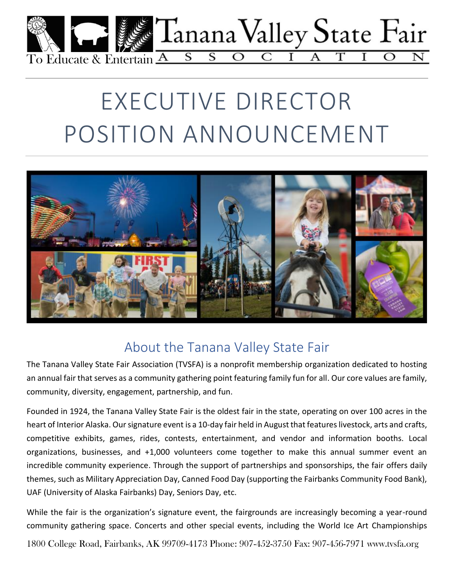

# EXECUTIVE DIRECTOR POSITION ANNOUNCEMENT



## About the Tanana Valley State Fair

The Tanana Valley State Fair Association (TVSFA) is a nonprofit membership organization dedicated to hosting an annual fair that serves as a community gathering point featuring family fun for all. Our core values are family, community, diversity, engagement, partnership, and fun.

Founded in 1924, the Tanana Valley State Fair is the oldest fair in the state, operating on over 100 acres in the heart of Interior Alaska. Our signature event is a 10-day fair held in August that features livestock, arts and crafts, competitive exhibits, games, rides, contests, entertainment, and vendor and information booths. Local organizations, businesses, and +1,000 volunteers come together to make this annual summer event an incredible community experience. Through the support of partnerships and sponsorships, the fair offers daily themes, such as Military Appreciation Day, Canned Food Day (supporting the Fairbanks Community Food Bank), UAF (University of Alaska Fairbanks) Day, Seniors Day, etc.

While the fair is the organization's signature event, the fairgrounds are increasingly becoming a year-round community gathering space. Concerts and other special events, including the World Ice Art Championships

1800 College Road, Fairbanks, AK 99709-4173 Phone: 907-452-3750 Fax: 907-456-7971 www.tvsfa.org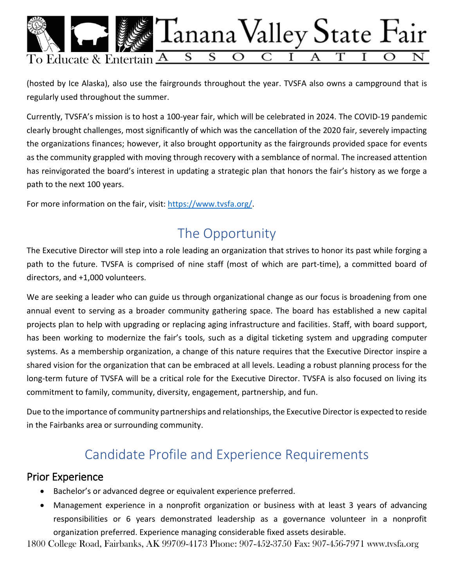

(hosted by Ice Alaska), also use the fairgrounds throughout the year. TVSFA also owns a campground that is regularly used throughout the summer.

Currently, TVSFA's mission is to host a 100-year fair, which will be celebrated in 2024. The COVID-19 pandemic clearly brought challenges, most significantly of which was the cancellation of the 2020 fair, severely impacting the organizations finances; however, it also brought opportunity as the fairgrounds provided space for events as the community grappled with moving through recovery with a semblance of normal. The increased attention has reinvigorated the board's interest in updating a strategic plan that honors the fair's history as we forge a path to the next 100 years.

For more information on the fair, visit: [https://www.tvsfa.org/.](https://www.tvsfa.org/)

## The Opportunity

The Executive Director will step into a role leading an organization that strives to honor its past while forging a path to the future. TVSFA is comprised of nine staff (most of which are part-time), a committed board of directors, and +1,000 volunteers.

We are seeking a leader who can guide us through organizational change as our focus is broadening from one annual event to serving as a broader community gathering space. The board has established a new capital projects plan to help with upgrading or replacing aging infrastructure and facilities. Staff, with board support, has been working to modernize the fair's tools, such as a digital ticketing system and upgrading computer systems. As a membership organization, a change of this nature requires that the Executive Director inspire a shared vision for the organization that can be embraced at all levels. Leading a robust planning process for the long-term future of TVSFA will be a critical role for the Executive Director. TVSFA is also focused on living its commitment to family, community, diversity, engagement, partnership, and fun.

Due to the importance of community partnerships and relationships, the Executive Director is expected to reside in the Fairbanks area or surrounding community.

## Candidate Profile and Experience Requirements

#### Prior Experience

- Bachelor's or advanced degree or equivalent experience preferred.
- Management experience in a nonprofit organization or business with at least 3 years of advancing responsibilities or 6 years demonstrated leadership as a governance volunteer in a nonprofit organization preferred. Experience managing considerable fixed assets desirable.

1800 College Road, Fairbanks, AK 99709-4173 Phone: 907-452-3750 Fax: 907-456-7971 www.tvsfa.org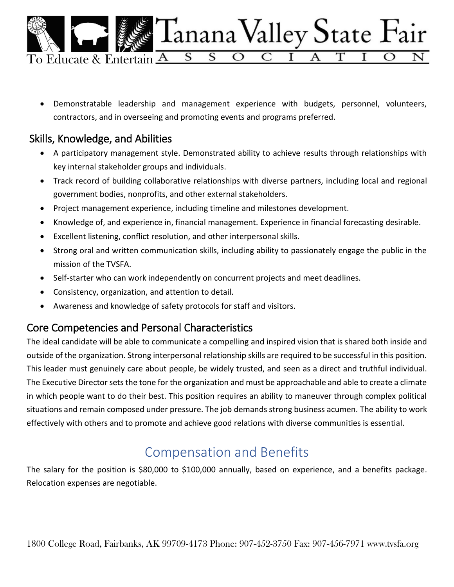

 Demonstratable leadership and management experience with budgets, personnel, volunteers, contractors, and in overseeing and promoting events and programs preferred.

### Skills, Knowledge, and Abilities

- A participatory management style. Demonstrated ability to achieve results through relationships with key internal stakeholder groups and individuals.
- Track record of building collaborative relationships with diverse partners, including local and regional government bodies, nonprofits, and other external stakeholders.
- Project management experience, including timeline and milestones development.
- Knowledge of, and experience in, financial management. Experience in financial forecasting desirable.
- Excellent listening, conflict resolution, and other interpersonal skills.
- Strong oral and written communication skills, including ability to passionately engage the public in the mission of the TVSFA.
- Self-starter who can work independently on concurrent projects and meet deadlines.
- Consistency, organization, and attention to detail.
- Awareness and knowledge of safety protocols for staff and visitors.

#### Core Competencies and Personal Characteristics

The ideal candidate will be able to communicate a compelling and inspired vision that is shared both inside and outside of the organization. Strong interpersonal relationship skills are required to be successful in this position. This leader must genuinely care about people, be widely trusted, and seen as a direct and truthful individual. The Executive Director sets the tone for the organization and must be approachable and able to create a climate in which people want to do their best. This position requires an ability to maneuver through complex political situations and remain composed under pressure. The job demands strong business acumen. The ability to work effectively with others and to promote and achieve good relations with diverse communities is essential.

## Compensation and Benefits

The salary for the position is \$80,000 to \$100,000 annually, based on experience, and a benefits package. Relocation expenses are negotiable.